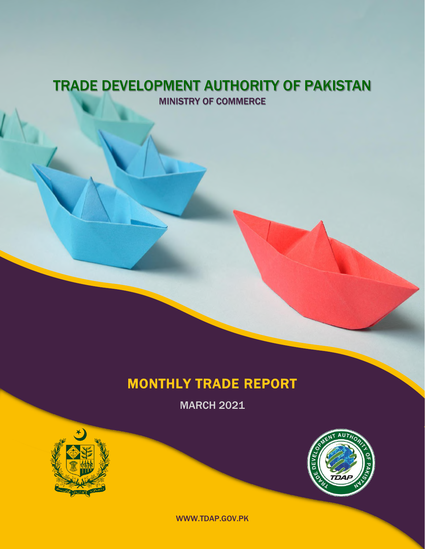### TRADE DEVELOPMENT AUTHORITY OF PAKISTAN MINISTRY OF COMMERCE

## MONTHLY TRADE REPORT

MARCH 2021





WWW.TDAP.GOV.PK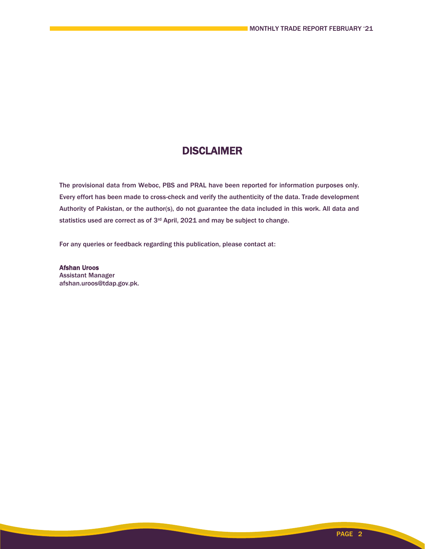### **DISCLAIMER**

The provisional data from Weboc, PBS and PRAL have been reported for information purposes only. Every effort has been made to cross-check and verify the authenticity of the data. Trade development Authority of Pakistan, or the author(s), do not guarantee the data included in this work. All data and statistics used are correct as of 3rd April, 2021 and may be subject to change.

For any queries or feedback regarding this publication, please contact at:

Afshan Uroos Assistant Manager afshan.uroos@tdap.gov.pk.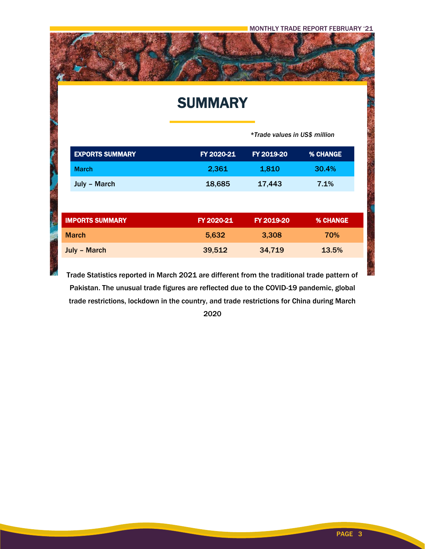### **SUMMARY**

 *\*Trade values in US\$ million*

| <b>EXPORTS SUMMARY</b> | FY 2020-21 | FY 2019-20 | <b>% CHANGE</b> |
|------------------------|------------|------------|-----------------|
| <b>March</b>           | 2,361      | 1,810      | 30.4%           |
| July - March           | 18,685     | 17,443     | 7.1%            |
|                        |            |            |                 |
| <b>IMPORTS SUMMARY</b> | FY 2020-21 | FY 2019-20 | <b>% CHANGE</b> |
| <b>March</b>           | 5,632      | 3,308      | 70%             |
| <b>July - March</b>    | 39,512     | 34,719     | 13.5%           |

Trade Statistics reported in March 2021 are different from the traditional trade pattern of Pakistan. The unusual trade figures are reflected due to the COVID-19 pandemic, global trade restrictions, lockdown in the country, and trade restrictions for China during March

2020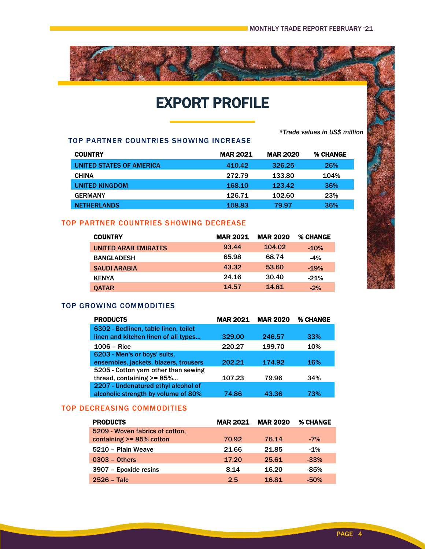*\*Trade values in US\$ million*

# EXPORT PROFILE

TOP PARTNER COUNTRIES SHOWING INCREASE

| <b>COUNTRY</b>           | <b>MAR 2021</b> | <b>MAR 2020</b> | <b>% CHANGE</b> |
|--------------------------|-----------------|-----------------|-----------------|
| UNITED STATES OF AMERICA | 410.42          | 326.25          | 26%             |
| <b>CHINA</b>             | 272.79          | 133.80          | 104%            |
| UNITED KINGDOM           | 168.10          | 123.42          | 36%             |
| <b>GERMANY</b>           | 126.71          | 102.60          | 23%             |
| <b>NETHERLANDS</b>       | 108.83          | 79.97           | 36%             |

#### TOP PARTNER COUNTRIES SHOWING DECREASE

| <b>COUNTRY</b>              | <b>MAR 2021</b> | <b>MAR 2020</b> | <b>% CHANGE</b> |
|-----------------------------|-----------------|-----------------|-----------------|
| <b>UNITED ARAB EMIRATES</b> | 93.44           | 104.02          | $-10%$          |
| <b>BANGLADESH</b>           | 65.98           | 68.74           | $-4%$           |
| <b>SAUDI ARABIA</b>         | 43.32           | 53.60           | $-19%$          |
| <b>KENYA</b>                | 24.16           | 30.40           | $-21%$          |
| <b>OATAR</b>                | 14.57           | 14.81           | $-2%$           |

#### TOP GROWING COMMODITIES

| <b>PRODUCTS</b>                                                                                               | <b>MAR 2021</b> | <b>MAR 2020</b> | % CHANGE |
|---------------------------------------------------------------------------------------------------------------|-----------------|-----------------|----------|
| 6302 - Bedlinen, table linen, toilet<br>linen and kitchen linen of all types                                  | 329.00          | 246.57          | 33%      |
| $1006 - Rice$                                                                                                 | 220.27          | 199.70          | 10%      |
| 6203 - Men's or boys' suits,<br>ensembles, jackets, blazers, trousers<br>5205 - Cotton yarn other than sewing | 202.21          | 174.92          | 16%      |
| thread, containing $>= 85$ %                                                                                  | 107.23          | 79.96           | 34%      |
| 2207 - Undenatured ethyl alcohol of<br>alcoholic strength by volume of 80%                                    | 74.86           | 43.36           | 73%      |

#### TOP DECREASING COMMODITIES

| <b>PRODUCTS</b>                 | <b>MAR 2021</b> | <b>MAR 2020</b> | <b>% CHANGE</b> |
|---------------------------------|-----------------|-----------------|-----------------|
| 5209 - Woven fabrics of cotton, |                 |                 |                 |
| containing >= 85% cotton        | 70.92           | 76.14           | $-7\%$          |
| 5210 - Plain Weave              | 21.66           | 21.85           | $-1\%$          |
| $0303 - 0$ thers                | 17.20           | 25.61           | $-33%$          |
| 3907 - Epoxide resins           | 8.14            | 16.20           | $-85%$          |
| $2526 - \textsf{Talc}$          | 2.5             | 16.81           | $-50%$          |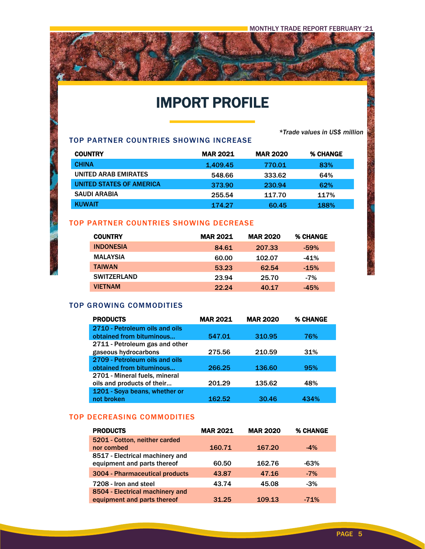### IMPORT PROFILE

*\*Trade values in US\$ million*

#### TOP PARTNER COUNTRIES SHOWING INCREASE

医皮质

| <b>COUNTRY</b>           | <b>MAR 2021</b> | <b>MAR 2020</b> | <b>% CHANGE</b> |
|--------------------------|-----------------|-----------------|-----------------|
| <b>CHINA</b>             | 1.409.45        | 770.01          | 83%             |
| UNITED ARAB EMIRATES     | 548.66          | 333.62          | 64%             |
| UNITED STATES OF AMERICA | 373.90          | 230.94          | 62%             |
| <b>SAUDI ARABIA</b>      | 255.54          | 117.70          | 117%            |
| <b>KUWAIT</b>            | 174.27          | 60.45           | 188%            |

#### TOP PARTNER COUNTRIES SHOWING DECREASE

| <b>COUNTRY</b>     | <b>MAR 2021</b> | <b>MAR 2020</b> | % CHANGE |
|--------------------|-----------------|-----------------|----------|
| <b>INDONESIA</b>   | 84.61           | 207.33          | $-59%$   |
| <b>MALAYSIA</b>    | 60.00           | 102.07          | $-41%$   |
| <b>TAIWAN</b>      | 53.23           | 62.54           | $-15%$   |
| <b>SWITZERLAND</b> | 23.94           | 25.70           | $-7%$    |
| <b>VIETNAM</b>     | 22.24           | 40.17           | $-45%$   |

#### TOP GROWING COMMODITIES

| <b>PRODUCTS</b>                | <b>MAR 2021</b> | <b>MAR 2020</b> | <b>% CHANGE</b> |
|--------------------------------|-----------------|-----------------|-----------------|
| 2710 - Petroleum oils and oils |                 |                 |                 |
| obtained from bituminous       | 547.01          | 310.95          | 76%             |
| 2711 - Petroleum gas and other |                 |                 |                 |
| gaseous hydrocarbons           | 275.56          | 210.59          | 31%             |
| 2709 - Petroleum oils and oils |                 |                 |                 |
| obtained from bituminous       | 266.25          | 136.60          | 95%             |
| 2701 - Mineral fuels, mineral  |                 |                 |                 |
| oils and products of their     | 201.29          | 135.62          | 48%             |
| 1201 - Soya beans, whether or  |                 |                 |                 |
| not broken                     | 162.52          | 30.46           | 434%            |

#### TOP DECREASING COMMODITIES

| <b>PRODUCTS</b>                 | <b>MAR 2021</b> | <b>MAR 2020</b> | <b>% CHANGE</b> |
|---------------------------------|-----------------|-----------------|-----------------|
| 5201 - Cotton, neither carded   |                 |                 |                 |
| nor combed                      | 160.71          | 167.20          | $-4\%$          |
| 8517 - Electrical machinery and |                 |                 |                 |
| equipment and parts thereof     | 60.50           | 162.76          | $-63%$          |
| 3004 - Pharmaceutical products  | 43.87           | 47.16           | $-7%$           |
| 7208 - Iron and steel           | 43.74           | 45.08           | $-3%$           |
| 8504 - Electrical machinery and |                 |                 |                 |
| equipment and parts thereof     | 31.25           | 109.13          | $-71%$          |